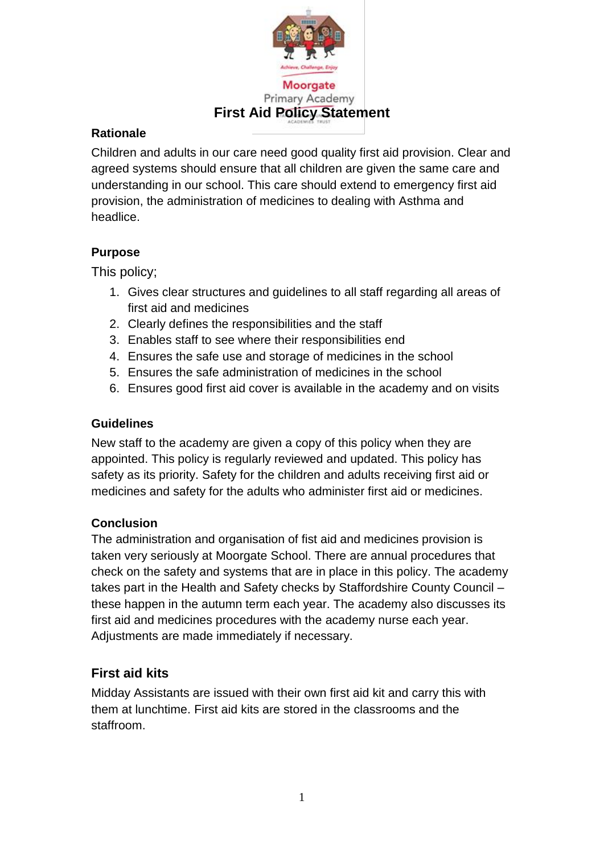

### **Rationale**

Children and adults in our care need good quality first aid provision. Clear and agreed systems should ensure that all children are given the same care and understanding in our school. This care should extend to emergency first aid provision, the administration of medicines to dealing with Asthma and headlice.

## **Purpose**

This policy;

- 1. Gives clear structures and guidelines to all staff regarding all areas of first aid and medicines
- 2. Clearly defines the responsibilities and the staff
- 3. Enables staff to see where their responsibilities end
- 4. Ensures the safe use and storage of medicines in the school
- 5. Ensures the safe administration of medicines in the school
- 6. Ensures good first aid cover is available in the academy and on visits

### **Guidelines**

New staff to the academy are given a copy of this policy when they are appointed. This policy is regularly reviewed and updated. This policy has safety as its priority. Safety for the children and adults receiving first aid or medicines and safety for the adults who administer first aid or medicines.

## **Conclusion**

The administration and organisation of fist aid and medicines provision is taken very seriously at Moorgate School. There are annual procedures that check on the safety and systems that are in place in this policy. The academy takes part in the Health and Safety checks by Staffordshire County Council – these happen in the autumn term each year. The academy also discusses its first aid and medicines procedures with the academy nurse each year. Adjustments are made immediately if necessary.

# **First aid kits**

Midday Assistants are issued with their own first aid kit and carry this with them at lunchtime. First aid kits are stored in the classrooms and the staffroom.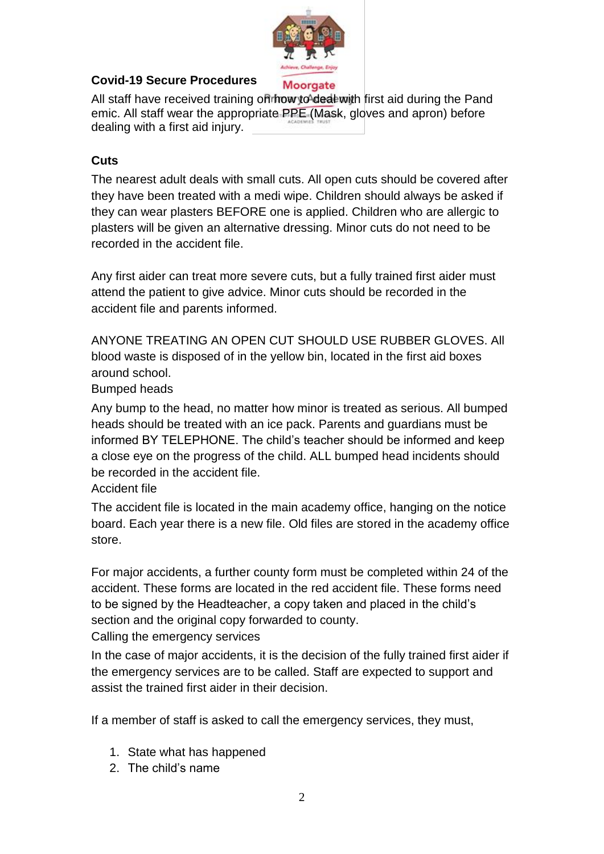

#### **Covid-19 Secure Procedures**

All staff have received training on how to deal with first aid during the Pand emic. All staff wear the appropriate PPE (Mask, gloves and apron) before dealing with a first aid injury.

### **Cuts**

The nearest adult deals with small cuts. All open cuts should be covered after they have been treated with a medi wipe. Children should always be asked if they can wear plasters BEFORE one is applied. Children who are allergic to plasters will be given an alternative dressing. Minor cuts do not need to be recorded in the accident file.

Any first aider can treat more severe cuts, but a fully trained first aider must attend the patient to give advice. Minor cuts should be recorded in the accident file and parents informed.

ANYONE TREATING AN OPEN CUT SHOULD USE RUBBER GLOVES. ALL blood waste is disposed of in the yellow bin, located in the first aid boxes around school.

Bumped heads

Any bump to the head, no matter how minor is treated as serious. All bumped heads should be treated with an ice pack. Parents and guardians must be informed BY TELEPHONE. The child's teacher should be informed and keep a close eye on the progress of the child. ALL bumped head incidents should be recorded in the accident file.

#### Accident file

The accident file is located in the main academy office, hanging on the notice board. Each year there is a new file. Old files are stored in the academy office store.

For major accidents, a further county form must be completed within 24 of the accident. These forms are located in the red accident file. These forms need to be signed by the Headteacher, a copy taken and placed in the child's section and the original copy forwarded to county. Calling the emergency services

In the case of major accidents, it is the decision of the fully trained first aider if the emergency services are to be called. Staff are expected to support and assist the trained first aider in their decision.

If a member of staff is asked to call the emergency services, they must,

- 1. State what has happened
- 2. The child's name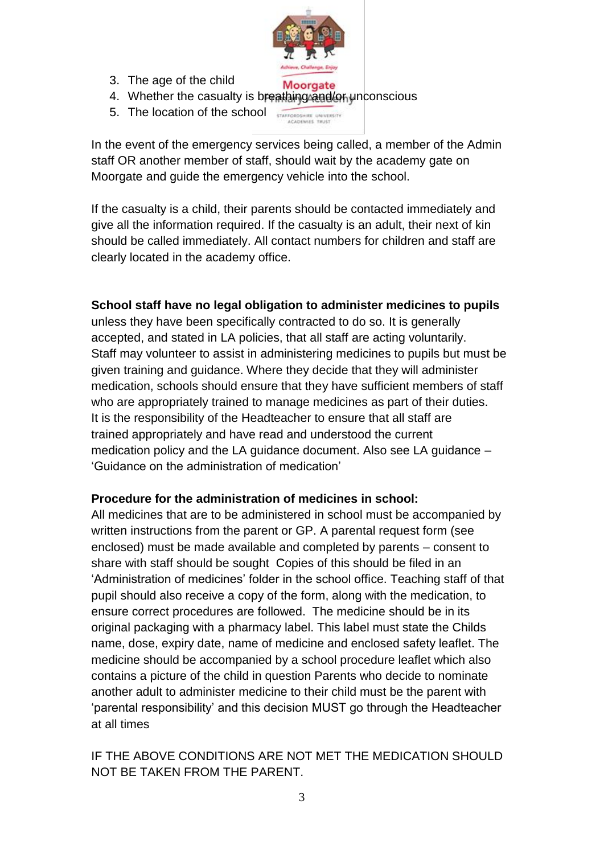

- 3. The age of the child
- Moorgate 4. Whether the casualty is breathing and/on unconscious
- 5. The location of the school STAFFORDSHIRE UNIVERSITY

In the event of the emergency services being called, a member of the Admin staff OR another member of staff, should wait by the academy gate on Moorgate and guide the emergency vehicle into the school.

If the casualty is a child, their parents should be contacted immediately and give all the information required. If the casualty is an adult, their next of kin should be called immediately. All contact numbers for children and staff are clearly located in the academy office.

#### **School staff have no legal obligation to administer medicines to pupils**

unless they have been specifically contracted to do so. It is generally accepted, and stated in LA policies, that all staff are acting voluntarily. Staff may volunteer to assist in administering medicines to pupils but must be given training and guidance. Where they decide that they will administer medication, schools should ensure that they have sufficient members of staff who are appropriately trained to manage medicines as part of their duties. It is the responsibility of the Headteacher to ensure that all staff are trained appropriately and have read and understood the current medication policy and the LA guidance document. Also see LA guidance – 'Guidance on the administration of medication'

#### **Procedure for the administration of medicines in school:**

All medicines that are to be administered in school must be accompanied by written instructions from the parent or GP. A parental request form (see enclosed) must be made available and completed by parents – consent to share with staff should be sought Copies of this should be filed in an 'Administration of medicines' folder in the school office. Teaching staff of that pupil should also receive a copy of the form, along with the medication, to ensure correct procedures are followed. The medicine should be in its original packaging with a pharmacy label. This label must state the Childs name, dose, expiry date, name of medicine and enclosed safety leaflet. The medicine should be accompanied by a school procedure leaflet which also contains a picture of the child in question Parents who decide to nominate another adult to administer medicine to their child must be the parent with 'parental responsibility' and this decision MUST go through the Headteacher at all times

#### IF THE ABOVE CONDITIONS ARE NOT MET THE MEDICATION SHOULD NOT BE TAKEN FROM THE PARENT.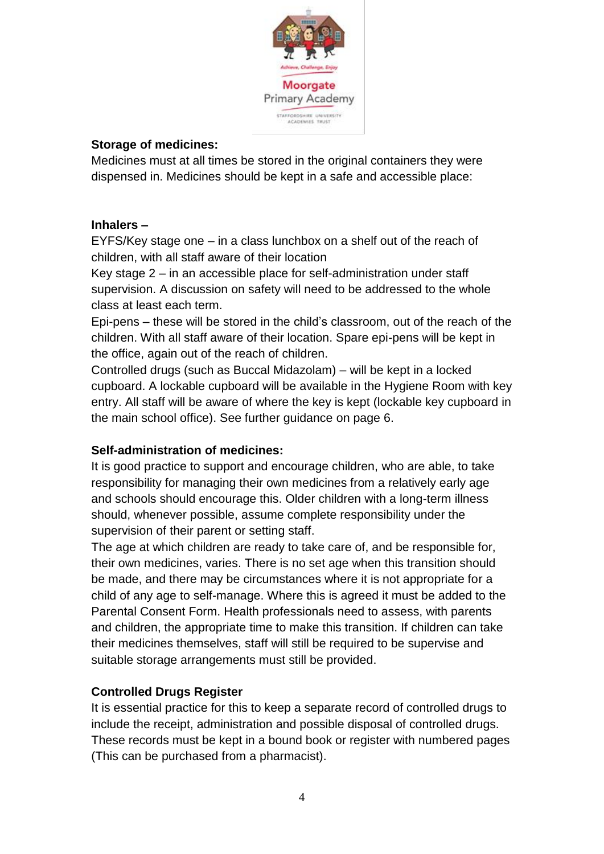

#### **Storage of medicines:**

Medicines must at all times be stored in the original containers they were dispensed in. Medicines should be kept in a safe and accessible place:

#### **Inhalers –**

EYFS/Key stage one – in a class lunchbox on a shelf out of the reach of children, with all staff aware of their location

Key stage 2 – in an accessible place for self-administration under staff supervision. A discussion on safety will need to be addressed to the whole class at least each term.

Epi-pens – these will be stored in the child's classroom, out of the reach of the children. With all staff aware of their location. Spare epi-pens will be kept in the office, again out of the reach of children.

Controlled drugs (such as Buccal Midazolam) – will be kept in a locked cupboard. A lockable cupboard will be available in the Hygiene Room with key entry. All staff will be aware of where the key is kept (lockable key cupboard in the main school office). See further guidance on page 6.

#### **Self-administration of medicines:**

It is good practice to support and encourage children, who are able, to take responsibility for managing their own medicines from a relatively early age and schools should encourage this. Older children with a long-term illness should, whenever possible, assume complete responsibility under the supervision of their parent or setting staff.

The age at which children are ready to take care of, and be responsible for, their own medicines, varies. There is no set age when this transition should be made, and there may be circumstances where it is not appropriate for a child of any age to self-manage. Where this is agreed it must be added to the Parental Consent Form. Health professionals need to assess, with parents and children, the appropriate time to make this transition. If children can take their medicines themselves, staff will still be required to be supervise and suitable storage arrangements must still be provided.

#### **Controlled Drugs Register**

It is essential practice for this to keep a separate record of controlled drugs to include the receipt, administration and possible disposal of controlled drugs. These records must be kept in a bound book or register with numbered pages (This can be purchased from a pharmacist).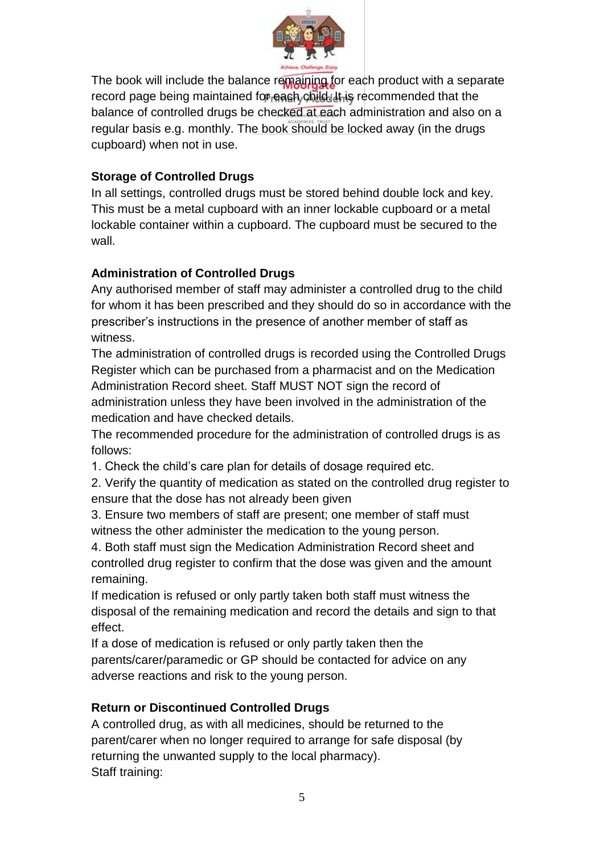

The book will include the balance remaining for each product with a separate record page being maintained for each child. It is recommended that the balance of controlled drugs be checked at each administration and also on a regular basis e.g. monthly. The book should be locked away (in the drugs cupboard) when not in use.

## **Storage of Controlled Drugs**

In all settings, controlled drugs must be stored behind double lock and key. This must be a metal cupboard with an inner lockable cupboard or a metal lockable container within a cupboard. The cupboard must be secured to the wall.

### **Administration of Controlled Drugs**

Any authorised member of staff may administer a controlled drug to the child for whom it has been prescribed and they should do so in accordance with the prescriber's instructions in the presence of another member of staff as witness.

The administration of controlled drugs is recorded using the Controlled Drugs Register which can be purchased from a pharmacist and on the Medication Administration Record sheet. Staff MUST NOT sign the record of administration unless they have been involved in the administration of the medication and have checked details.

The recommended procedure for the administration of controlled drugs is as follows:

1. Check the child's care plan for details of dosage required etc.

2. Verify the quantity of medication as stated on the controlled drug register to ensure that the dose has not already been given

3. Ensure two members of staff are present; one member of staff must witness the other administer the medication to the young person.

4. Both staff must sign the Medication Administration Record sheet and controlled drug register to confirm that the dose was given and the amount remaining.

If medication is refused or only partly taken both staff must witness the disposal of the remaining medication and record the details and sign to that effect.

If a dose of medication is refused or only partly taken then the parents/carer/paramedic or GP should be contacted for advice on any adverse reactions and risk to the young person.

## **Return or Discontinued Controlled Drugs**

A controlled drug, as with all medicines, should be returned to the parent/carer when no longer required to arrange for safe disposal (by returning the unwanted supply to the local pharmacy). Staff training: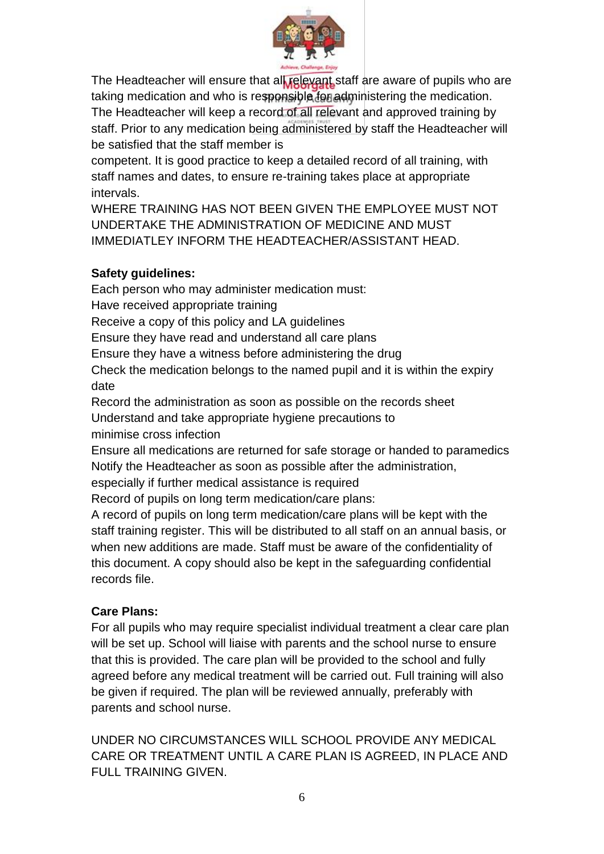

The Headteacher will ensure that all relevant staff are aware of pupils who are taking medication and who is responsible for administering the medication. The Headteacher will keep a record of all relevant and approved training by staff. Prior to any medication being administered by staff the Headteacher will be satisfied that the staff member is

competent. It is good practice to keep a detailed record of all training, with staff names and dates, to ensure re-training takes place at appropriate intervals.

WHERE TRAINING HAS NOT BEEN GIVEN THE EMPLOYEE MUST NOT UNDERTAKE THE ADMINISTRATION OF MEDICINE AND MUST IMMEDIATLEY INFORM THE HEADTEACHER/ASSISTANT HEAD.

## **Safety guidelines:**

Each person who may administer medication must: Have received appropriate training Receive a copy of this policy and LA guidelines Ensure they have read and understand all care plans Ensure they have a witness before administering the drug Check the medication belongs to the named pupil and it is within the expiry date Record the administration as soon as possible on the records sheet Understand and take appropriate hygiene precautions to minimise cross infection Ensure all medications are returned for safe storage or handed to paramedics Notify the Headteacher as soon as possible after the administration, especially if further medical assistance is required Record of pupils on long term medication/care plans:

A record of pupils on long term medication/care plans will be kept with the staff training register. This will be distributed to all staff on an annual basis, or when new additions are made. Staff must be aware of the confidentiality of this document. A copy should also be kept in the safeguarding confidential records file.

# **Care Plans:**

For all pupils who may require specialist individual treatment a clear care plan will be set up. School will liaise with parents and the school nurse to ensure that this is provided. The care plan will be provided to the school and fully agreed before any medical treatment will be carried out. Full training will also be given if required. The plan will be reviewed annually, preferably with parents and school nurse.

UNDER NO CIRCUMSTANCES WILL SCHOOL PROVIDE ANY MEDICAL CARE OR TREATMENT UNTIL A CARE PLAN IS AGREED, IN PLACE AND FULL TRAINING GIVEN.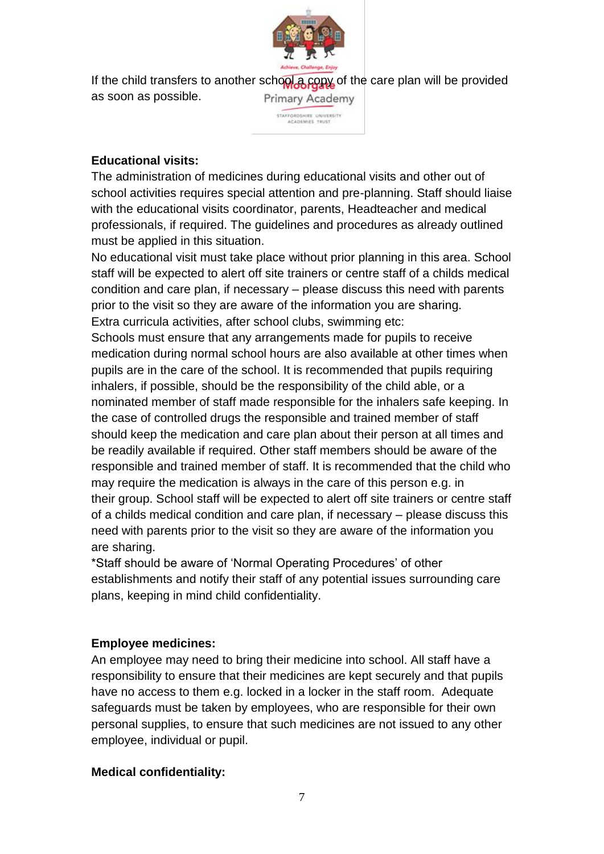

If the child transfers to another school a copy of the care plan will be provided as soon as possible. Primary Academy

STAFFORDSHIRE UNIVERSITY

#### **Educational visits:**

The administration of medicines during educational visits and other out of school activities requires special attention and pre-planning. Staff should liaise with the educational visits coordinator, parents, Headteacher and medical professionals, if required. The guidelines and procedures as already outlined must be applied in this situation.

No educational visit must take place without prior planning in this area. School staff will be expected to alert off site trainers or centre staff of a childs medical condition and care plan, if necessary – please discuss this need with parents prior to the visit so they are aware of the information you are sharing. Extra curricula activities, after school clubs, swimming etc:

Schools must ensure that any arrangements made for pupils to receive medication during normal school hours are also available at other times when pupils are in the care of the school. It is recommended that pupils requiring inhalers, if possible, should be the responsibility of the child able, or a nominated member of staff made responsible for the inhalers safe keeping. In the case of controlled drugs the responsible and trained member of staff should keep the medication and care plan about their person at all times and be readily available if required. Other staff members should be aware of the responsible and trained member of staff. It is recommended that the child who may require the medication is always in the care of this person e.g. in their group. School staff will be expected to alert off site trainers or centre staff of a childs medical condition and care plan, if necessary – please discuss this need with parents prior to the visit so they are aware of the information you are sharing.

\*Staff should be aware of 'Normal Operating Procedures' of other establishments and notify their staff of any potential issues surrounding care plans, keeping in mind child confidentiality.

#### **Employee medicines:**

An employee may need to bring their medicine into school. All staff have a responsibility to ensure that their medicines are kept securely and that pupils have no access to them e.g. locked in a locker in the staff room. Adequate safeguards must be taken by employees, who are responsible for their own personal supplies, to ensure that such medicines are not issued to any other employee, individual or pupil.

#### **Medical confidentiality:**